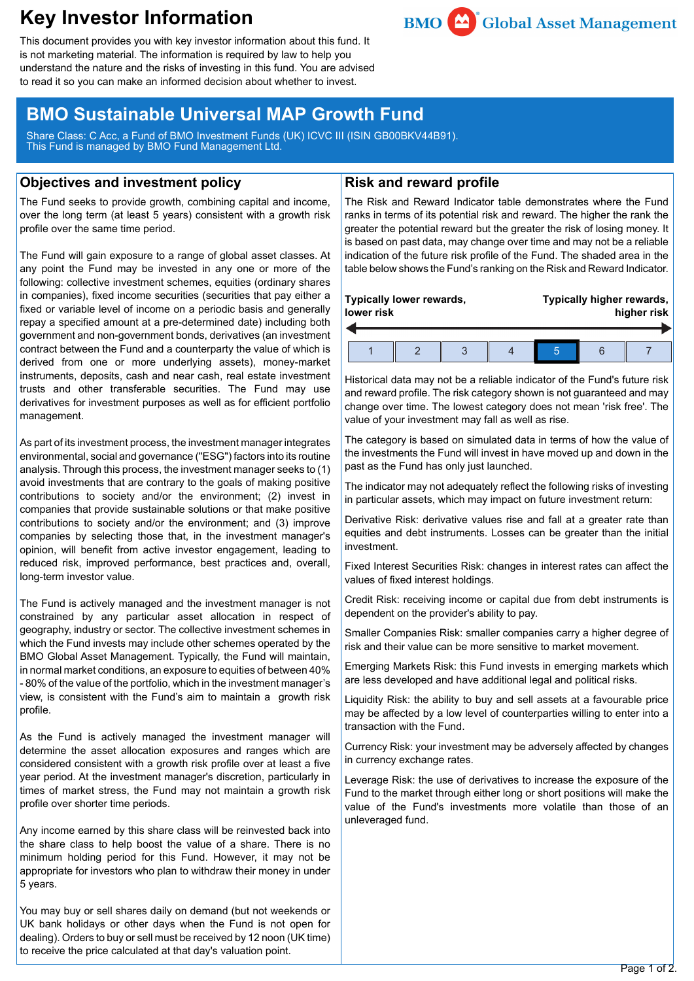# **Key Investor Information**



This document provides you with key investor information about this fund. It is not marketing material. The information is required by law to help you understand the nature and the risks of investing in this fund. You are advised to read it so you can make an informed decision about whether to invest.

## **BMO Sustainable Universal MAP Growth Fund**

Share Class: C Acc, a Fund of BMO Investment Funds (UK) ICVC III (ISIN GB00BKV44B91). This Fund is managed by BMO Fund Management Ltd.

## **Objectives and investment policy**

The Fund seeks to provide growth, combining capital and income, over the long term (at least 5 years) consistent with a growth risk profile over the same time period.

The Fund will gain exposure to a range of global asset classes. At any point the Fund may be invested in any one or more of the following: collective investment schemes, equities (ordinary shares in companies), fixed income securities (securities that pay either a fixed or variable level of income on a periodic basis and generally repay a specified amount at a pre-determined date) including both government and non-government bonds, derivatives (an investment contract between the Fund and a counterparty the value of which is derived from one or more underlying assets), money-market instruments, deposits, cash and near cash, real estate investment trusts and other transferable securities. The Fund may use derivatives for investment purposes as well as for efficient portfolio management.

As part of its investment process, the investment manager integrates environmental, social and governance ("ESG") factors into its routine analysis. Through this process, the investment manager seeks to (1) avoid investments that are contrary to the goals of making positive contributions to society and/or the environment; (2) invest in companies that provide sustainable solutions or that make positive contributions to society and/or the environment; and (3) improve companies by selecting those that, in the investment manager's opinion, will benefit from active investor engagement, leading to reduced risk, improved performance, best practices and, overall, long-term investor value.

The Fund is actively managed and the investment manager is not constrained by any particular asset allocation in respect of geography, industry or sector. The collective investment schemes in which the Fund invests may include other schemes operated by the BMO Global Asset Management. Typically, the Fund will maintain, in normal market conditions, an exposure to equities of between 40% - 80% of the value of the portfolio, which in the investment manager's view, is consistent with the Fund's aim to maintain a growth risk profile.

As the Fund is actively managed the investment manager will determine the asset allocation exposures and ranges which are considered consistent with a growth risk profile over at least a five year period. At the investment manager's discretion, particularly in times of market stress, the Fund may not maintain a growth risk profile over shorter time periods.

Any income earned by this share class will be reinvested back into the share class to help boost the value of a share. There is no minimum holding period for this Fund. However, it may not be appropriate for investors who plan to withdraw their money in under 5 years.

You may buy or sell shares daily on demand (but not weekends or UK bank holidays or other days when the Fund is not open for dealing). Orders to buy or sell must be received by 12 noon (UK time) to receive the price calculated at that day's valuation point.

## **Risk and reward profile**

The Risk and Reward Indicator table demonstrates where the Fund ranks in terms of its potential risk and reward. The higher the rank the greater the potential reward but the greater the risk of losing money. It is based on past data, may change over time and may not be a reliable indication of the future risk profile of the Fund. The shaded area in the table below shows the Fund's ranking on the Risk and Reward Indicator.

| Typically lower rewards,<br>lower risk |  |  | Typically higher rewards,<br>higher risk |  |  |  |
|----------------------------------------|--|--|------------------------------------------|--|--|--|
|                                        |  |  |                                          |  |  |  |

Historical data may not be a reliable indicator of the Fund's future risk and reward profile. The risk category shown is not guaranteed and may change over time. The lowest category does not mean 'risk free'. The value of your investment may fall as well as rise.

The category is based on simulated data in terms of how the value of the investments the Fund will invest in have moved up and down in the past as the Fund has only just launched.

The indicator may not adequately reflect the following risks of investing in particular assets, which may impact on future investment return:

Derivative Risk: derivative values rise and fall at a greater rate than equities and debt instruments. Losses can be greater than the initial investment.

Fixed Interest Securities Risk: changes in interest rates can affect the values of fixed interest holdings.

Credit Risk: receiving income or capital due from debt instruments is dependent on the provider's ability to pay.

Smaller Companies Risk: smaller companies carry a higher degree of risk and their value can be more sensitive to market movement.

Emerging Markets Risk: this Fund invests in emerging markets which are less developed and have additional legal and political risks.

Liquidity Risk: the ability to buy and sell assets at a favourable price may be affected by a low level of counterparties willing to enter into a transaction with the Fund.

Currency Risk: your investment may be adversely affected by changes in currency exchange rates.

Leverage Risk: the use of derivatives to increase the exposure of the Fund to the market through either long or short positions will make the value of the Fund's investments more volatile than those of an unleveraged fund.